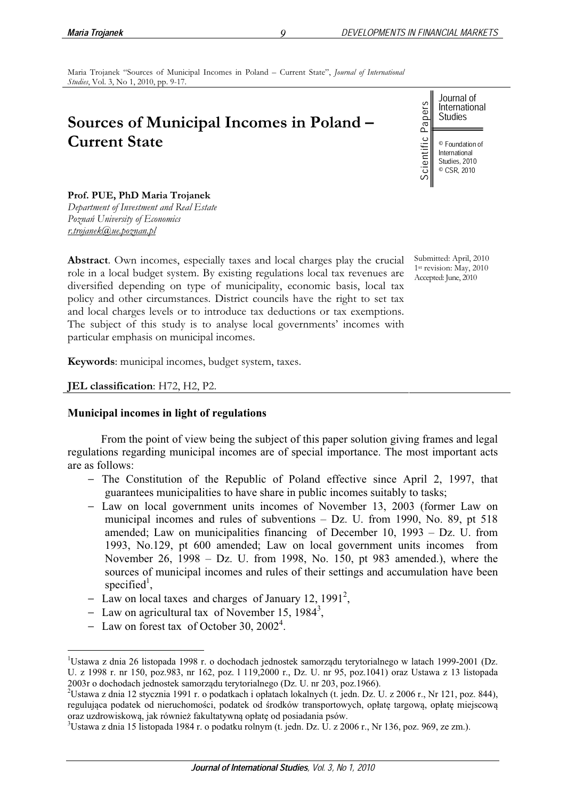Maria Trojanek "Sources of Municipal Incomes in Poland – Current State", *Journal of International Studies*, Vol. 3, No 1, 2010, pp. 9-17.

# **Sources of Municipal Incomes in Poland – Current State**

Journal of International Studies © Foundation of

International Studies, 2010 © CSR, 2010

**Prof. PUE, PhD Maria Trojanek** 

*Department of Investment and Real Estate Poznaľ University of Economics r.trojanek@ue.poznan.pl*

**Abstract**. Own incomes, especially taxes and local charges play the crucial role in a local budget system. By existing regulations local tax revenues are diversified depending on type of municipality, economic basis, local tax policy and other circumstances. District councils have the right to set tax and local charges levels or to introduce tax deductions or tax exemptions. The subject of this study is to analyse local governments' incomes with particular emphasis on municipal incomes.

**Keywords**: municipal incomes, budget system, taxes.

**JEL classification**: H72, H2, P2.

#### **Municipal incomes in light of regulations**

From the point of view being the subject of this paper solution giving frames and legal regulations regarding municipal incomes are of special importance. The most important acts are as follows:

- $-$  The Constitution of the Republic of Poland effective since April 2, 1997, that guarantees municipalities to have share in public incomes suitably to tasks;
- Law on local government units incomes of November 13, 2003 (former Law on municipal incomes and rules of subventions – Dz. U. from 1990, No. 89, pt 518 amended; Law on municipalities financing of December 10, 1993 – Dz. U. from 1993, No.129, pt 600 amended; Law on local government units incomes from November 26, 1998 – Dz. U. from 1998, No. 150, pt 983 amended.), where the sources of municipal incomes and rules of their settings and accumulation have been specified<sup>1</sup>, **Sources of Municipal Incomes in Poland –**<br> **Sources Contract State**<br> **Prof. PUE, PhD Maria Trojanek**<br> **Prof. PUE, PhD Maria Trojanek**<br> **Prof. PUE ABS reaction**<br> **Dynamics (Down incomes, especially taxes and local charges** 
	- Law on local taxes and charges of January 12, 1991<sup>2</sup>,
	- Law on agricultural tax of November 15, 1984<sup>3</sup>,
	- Law on forest tax of October 30,  $2002^4$ .

Submitted: April, 2010 1st revision: May, 2010 Accepted: June, 2010

*9*

<sup>&</sup>lt;sup>1</sup>Ustawa z dnia 26 listopada 1998 r. o dochodach jednostek samorządu terytorialnego w latach 1999-2001 (Dz. U. z 1998 r. nr 150, poz.983, nr 162, poz. l 119,2000 r., Dz. U. nr 95, poz.1041) oraz Ustawa z 13 listopada 2003r o dochodach jednostek samorządu terytorialnego (Dz. U. nr 203, poz.1966).

<sup>&</sup>lt;sup>2</sup>Ustawa z dnia 12 stycznia 1991 r. o podatkach i opłatach lokalnych (t. jedn. Dz. U. z 2006 r., Nr 121, poz. 844), regulująca podatek od nieruchomości, podatek od środków transportowych, opłatę targową, opłatę miejscową oraz uzdrowiskową, jak również fakultatywną opłatę od posiadania psów.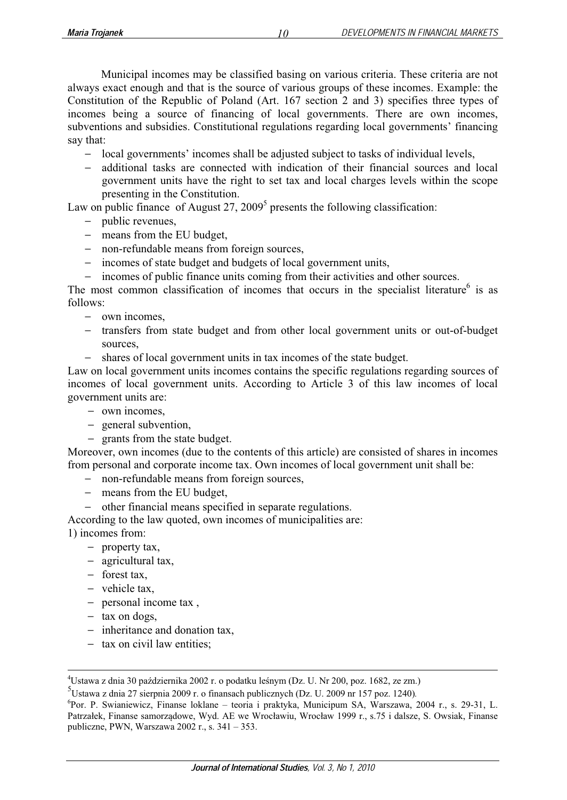Municipal incomes may be classified basing on various criteria. These criteria are not always exact enough and that is the source of various groups of these incomes. Example: the Constitution of the Republic of Poland (Art. 167 section 2 and 3) specifies three types of incomes being a source of financing of local governments. There are own incomes, subventions and subsidies. Constitutional regulations regarding local governments' financing say that:

- local governments' incomes shall be adjusted subject to tasks of individual levels,
- additional tasks are connected with indication of their financial sources and local government units have the right to set tax and local charges levels within the scope presenting in the Constitution.

Law on public finance of August  $27$ ,  $2009<sup>5</sup>$  presents the following classification:

- public revenues,
- means from the EU budget,
- non-refundable means from foreign sources,
- incomes of state budget and budgets of local government units,
- incomes of public finance units coming from their activities and other sources.

The most common classification of incomes that occurs in the specialist literature $6$  is as follows:

- own incomes,
- transfers from state budget and from other local government units or out-of-budget sources,
- shares of local government units in tax incomes of the state budget.

Law on local government units incomes contains the specific regulations regarding sources of incomes of local government units. According to Article 3 of this law incomes of local government units are:

- own incomes.
- general subvention,
- grants from the state budget.

Moreover, own incomes (due to the contents of this article) are consisted of shares in incomes from personal and corporate income tax. Own incomes of local government unit shall be:

- non-refundable means from foreign sources,
- means from the EU budget,
- other financial means specified in separate regulations.

According to the law quoted, own incomes of municipalities are: 1) incomes from:

- property tax,
- agricultural tax,
- forest tax,
- vehicle tax,
- personal income tax,
- $-$  tax on dogs,
- inheritance and donation tax,
- $-$  tax on civil law entities;

*10*

 $^{4}$ Ustawa z dnia 30 października 2002 r. o podatku leśnym (Dz. U. Nr 200, poz. 1682, ze zm.)

<sup>5</sup> Ustawa z dnia 27 sierpnia 2009 r. o finansach publicznych (Dz. U. 2009 nr 157 poz. 1240)*.*

<sup>6</sup> Por. P. Swianiewicz, Finanse loklane – teoria i praktyka, Municipum SA, Warszawa, 2004 r., s. 29-31, L. Patrzaáek, Finanse samorządowe, Wyd. AE we Wrocáawiu, Wrocáaw 1999 r., s.75 i dalsze, S. Owsiak, Finanse publiczne, PWN, Warszawa 2002 r., s. 341 – 353.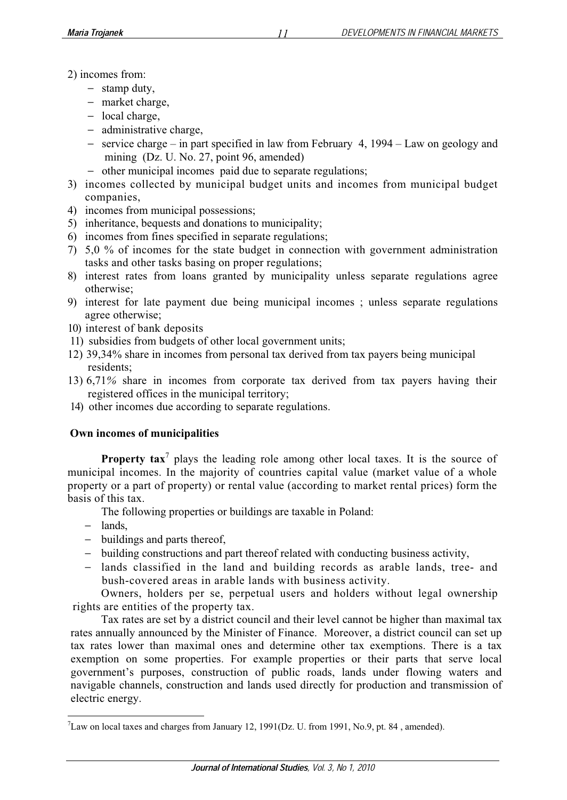- 2) incomes from:
	- $-$  stamp duty,
	- market charge,
	- local charge,
	- administrative charge,
	- $\frac{1}{2}$  service charge in part specified in law from February 4, 1994 Law on geology and mining (Dz. U. No. 27, point 96, amended)
	- other municipal incomes paid due to separate regulations;
- 3) incomes collected by municipal budget units and incomes from municipal budget companies,
- 4) incomes from municipal possessions;
- 5) inheritance, bequests and donations to municipality;
- 6) incomes from fines specified in separate regulations;
- 7) 5,0 % of incomes for the state budget in connection with government administration tasks and other tasks basing on proper regulations;
- 8) interest rates from loans granted by municipality unless separate regulations agree otherwise;
- 9) interest for late payment due being municipal incomes ; unless separate regulations agree otherwise;
- 10) interest of bank deposits
- 11) subsidies from budgets of other local government units;
- 12) 39,34% share in incomes from personal tax derived from tax payers being municipal residents;
- 13) 6,71*%* share in incomes from corporate tax derived from tax payers having their registered offices in the municipal territory;
- 14) other incomes due according to separate regulations.

# **Own incomes of municipalities**

**Property tax**<sup>7</sup> plays the leading role among other local taxes. It is the source of municipal incomes. In the majority of countries capital value (market value of a whole property or a part of property) or rental value (according to market rental prices) form the basis of this tax.

- The following properties or buildings are taxable in Poland:
- lands,
- buildings and parts thereof,
- building constructions and part thereof related with conducting business activity,
- lands classified in the land and building records as arable lands, tree- and bush-covered areas in arable lands with business activity.

Owners, holders per se, perpetual users and holders without legal ownership rights are entities of the property tax.

Tax rates are set by a district council and their level cannot be higher than maximal tax rates annually announced by the Minister of Finance. Moreover, a district council can set up tax rates lower than maximal ones and determine other tax exemptions. There is a tax exemption on some properties. For example properties or their parts that serve local government's purposes, construction of public roads, lands under flowing waters and navigable channels, construction and lands used directly for production and transmission of electric energy.

 $7$ Law on local taxes and charges from January 12, 1991(Dz. U. from 1991, No.9, pt. 84, amended).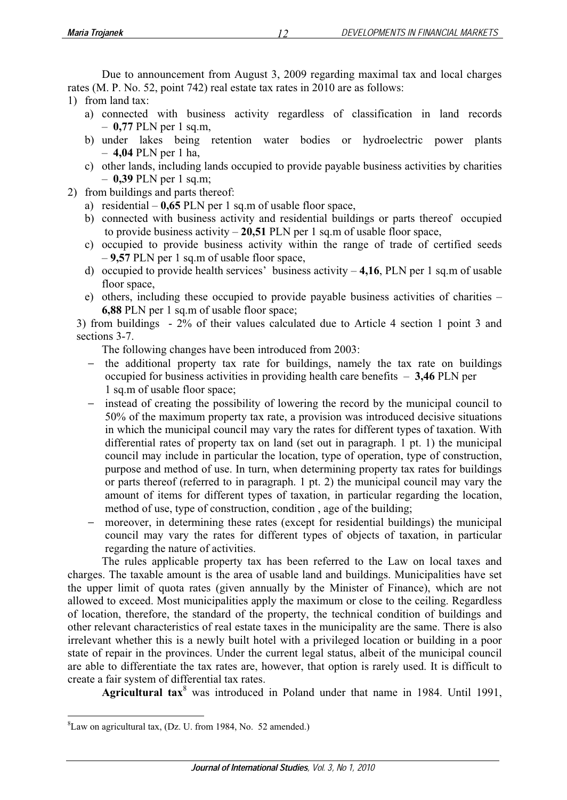Due to announcement from August 3, 2009 regarding maximal tax and local charges rates (M. P. No. 52, point 742) real estate tax rates in 2010 are as follows:

### 1) from land tax:

- a) connected with business activity regardless of classification in land records – **0,77** PLN per 1 sq.m,
- b) under lakes being retention water bodies or hydroelectric power plants – **4,04** PLN per 1 ha,
- c) other lands, including lands occupied to provide payable business activities by charities – **0,39** PLN per 1 sq.m;
- 2) from buildings and parts thereof:
	- a) residential **0,65** PLN per 1 sq.m of usable floor space,
	- b) connected with business activity and residential buildings or parts thereof occupied to provide business activity – **20,51** PLN per 1 sq.m of usable floor space,
	- c) occupied to provide business activity within the range of trade of certified seeds – **9,57** PLN per 1 sq.m of usable floor space,
	- d) occupied to provide health services' business activity **4,16**, PLN per 1 sq.m of usable floor space,
	- e) others, including these occupied to provide payable business activities of charities **6,88** PLN per 1 sq.m of usable floor space;

3) from buildings - 2% of their values calculated due to Article 4 section 1 point 3 and sections 3-7.

The following changes have been introduced from 2003:

- $-$  the additional property tax rate for buildings, namely the tax rate on buildings occupied for business activities in providing health care benefits – **3,46** PLN per 1 sq.m of usable floor space;
- instead of creating the possibility of lowering the record by the municipal council to 50% of the maximum property tax rate, a provision was introduced decisive situations in which the municipal council may vary the rates for different types of taxation. With differential rates of property tax on land (set out in paragraph. 1 pt. 1) the municipal council may include in particular the location, type of operation, type of construction, purpose and method of use. In turn, when determining property tax rates for buildings or parts thereof (referred to in paragraph. 1 pt. 2) the municipal council may vary the amount of items for different types of taxation, in particular regarding the location, method of use, type of construction, condition , age of the building;
- moreover, in determining these rates (except for residential buildings) the municipal council may vary the rates for different types of objects of taxation, in particular regarding the nature of activities.

The rules applicable property tax has been referred to the Law on local taxes and charges. The taxable amount is the area of usable land and buildings. Municipalities have set the upper limit of quota rates (given annually by the Minister of Finance), which are not allowed to exceed. Most municipalities apply the maximum or close to the ceiling. Regardless of location, therefore, the standard of the property, the technical condition of buildings and other relevant characteristics of real estate taxes in the municipality are the same. There is also irrelevant whether this is a newly built hotel with a privileged location or building in a poor state of repair in the provinces. Under the current legal status, albeit of the municipal council are able to differentiate the tax rates are, however, that option is rarely used. It is difficult to create a fair system of differential tax rates.

**Agricultural tax**<sup>8</sup> was introduced in Poland under that name in 1984. Until 1991,

<sup>8</sup>Law on agricultural tax, (Dz. U. from 1984, No. 52 amended.)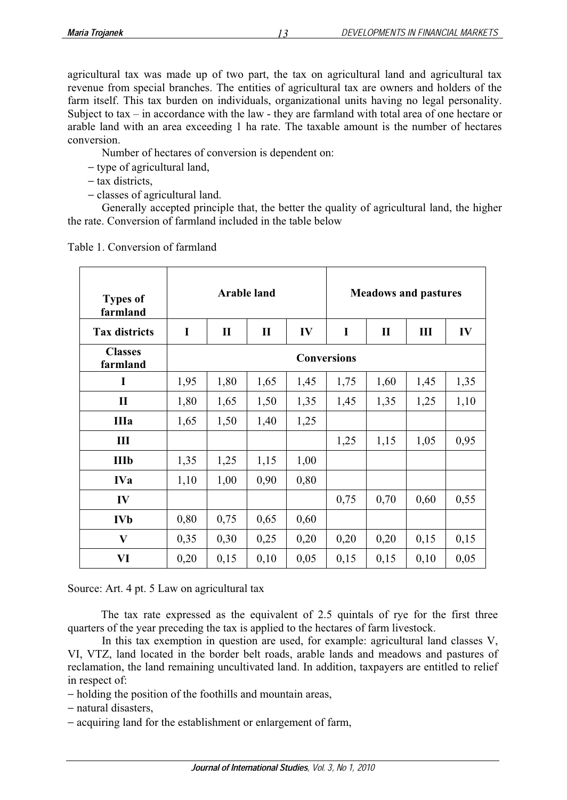agricultural tax was made up of two part, the tax on agricultural land and agricultural tax revenue from special branches. The entities of agricultural tax are owners and holders of the farm itself. This tax burden on individuals, organizational units having no legal personality. Subject to tax – in accordance with the law - they are farmland with total area of one hectare or arable land with an area exceeding 1 ha rate. The taxable amount is the number of hectares conversion.

*13*

Number of hectares of conversion is dependent on:

- type of agricultural land,

 $-$  tax districts.

- classes of agricultural land.

Generally accepted principle that, the better the quality of agricultural land, the higher the rate. Conversion of farmland included in the table below

| <b>Types of</b><br>farmland | Arable land        |             |      |      | <b>Meadows and pastures</b> |             |      |      |
|-----------------------------|--------------------|-------------|------|------|-----------------------------|-------------|------|------|
| <b>Tax districts</b>        | I                  | $\mathbf H$ | П    | IV   | I                           | $\mathbf H$ | Ш    | IV   |
| <b>Classes</b><br>farmland  | <b>Conversions</b> |             |      |      |                             |             |      |      |
| I                           | 1,95               | 1,80        | 1,65 | 1,45 | 1,75                        | 1,60        | 1,45 | 1,35 |
| П                           | 1,80               | 1,65        | 1,50 | 1,35 | 1,45                        | 1,35        | 1,25 | 1,10 |
| <b>IIIa</b>                 | 1,65               | 1,50        | 1,40 | 1,25 |                             |             |      |      |
| Ш                           |                    |             |      |      | 1,25                        | 1,15        | 1,05 | 0,95 |
| <b>IIIb</b>                 | 1,35               | 1,25        | 1,15 | 1,00 |                             |             |      |      |
| <b>IVa</b>                  | 1,10               | 1,00        | 0,90 | 0,80 |                             |             |      |      |
| IV                          |                    |             |      |      | 0.75                        | 0,70        | 0.60 | 0,55 |
| <b>IVb</b>                  | 0,80               | 0,75        | 0,65 | 0,60 |                             |             |      |      |
| V                           | 0,35               | 0,30        | 0,25 | 0,20 | 0,20                        | 0,20        | 0,15 | 0,15 |
| VI                          | 0,20               | 0,15        | 0,10 | 0,05 | 0,15                        | 0,15        | 0,10 | 0,05 |

Table 1. Conversion of farmland

Source: Art. 4 pt. 5 Law on agricultural tax

The tax rate expressed as the equivalent of 2.5 quintals of rye for the first three quarters of the year preceding the tax is applied to the hectares of farm livestock.

 In this tax exemption in question are used, for example: agricultural land classes V, VI, VTZ, land located in the border belt roads, arable lands and meadows and pastures of reclamation, the land remaining uncultivated land. In addition, taxpayers are entitled to relief in respect of:

– holding the position of the foothills and mountain areas,

- natural disasters.

- acquiring land for the establishment or enlargement of farm,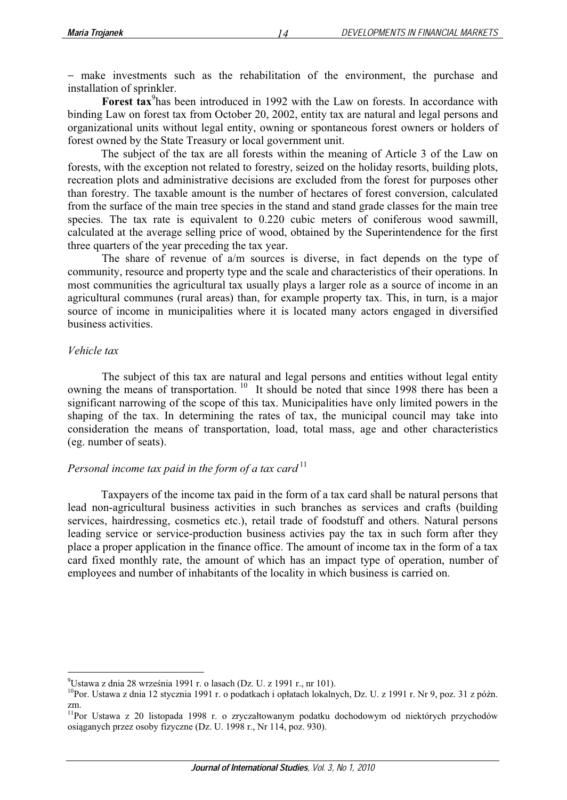make investments such as the rehabilitation of the environment, the purchase and installation of sprinkler.

**Forest tax**<sup>9</sup> has been introduced in 1992 with the Law on forests. In accordance with binding Law on forest tax from October 20, 2002, entity tax are natural and legal persons and organizational units without legal entity, owning or spontaneous forest owners or holders of forest owned by the State Treasury or local government unit.

The subject of the tax are all forests within the meaning of Article 3 of the Law on forests, with the exception not related to forestry, seized on the holiday resorts, building plots, recreation plots and administrative decisions are excluded from the forest for purposes other than forestry. The taxable amount is the number of hectares of forest conversion, calculated from the surface of the main tree species in the stand and stand grade classes for the main tree species. The tax rate is equivalent to 0.220 cubic meters of coniferous wood sawmill, calculated at the average selling price of wood, obtained by the Superintendence for the first three quarters of the year preceding the tax year.

 The share of revenue of a/m sources is diverse, in fact depends on the type of community, resource and property type and the scale and characteristics of their operations. In most communities the agricultural tax usually plays a larger role as a source of income in an agricultural communes (rural areas) than, for example property tax. This, in turn, is a major source of income in municipalities where it is located many actors engaged in diversified business activities.

#### *Vehicle tax*

The subject of this tax are natural and legal persons and entities without legal entity owning the means of transportation.<sup>10</sup> It should be noted that since 1998 there has been a significant narrowing of the scope of this tax. Municipalities have only limited powers in the shaping of the tax. In determining the rates of tax, the municipal council may take into consideration the means of transportation, load, total mass, age and other characteristics (eg. number of seats).

# *Personal income tax paid in the form of a tax card*<sup>11</sup>

Taxpayers of the income tax paid in the form of a tax card shall be natural persons that lead non-agricultural business activities in such branches as services and crafts (building services, hairdressing, cosmetics etc.), retail trade of foodstuff and others. Natural persons leading service or service-production business activies pay the tax in such form after they place a proper application in the finance office. The amount of income tax in the form of a tax card fixed monthly rate, the amount of which has an impact type of operation, number of employees and number of inhabitants of the locality in which business is carried on.

 $^{9}$ Ustawa z dnia 28 września 1991 r. o lasach (Dz. U. z 1991 r., nr 101).

<sup>&</sup>lt;sup>10</sup>Por. Ustawa z dnia 12 stycznia 1991 r. o podatkach i opłatach lokalnych, Dz. U. z 1991 r. Nr 9, poz. 31 z późn. zm.

<sup>&</sup>lt;sup>11</sup>Por Ustawa z 20 listopada 1998 r. o zryczałtowanym podatku dochodowym od niektórych przychodów osiąganych przez osoby fizyczne (Dz. U. 1998 r., Nr 114, poz. 930).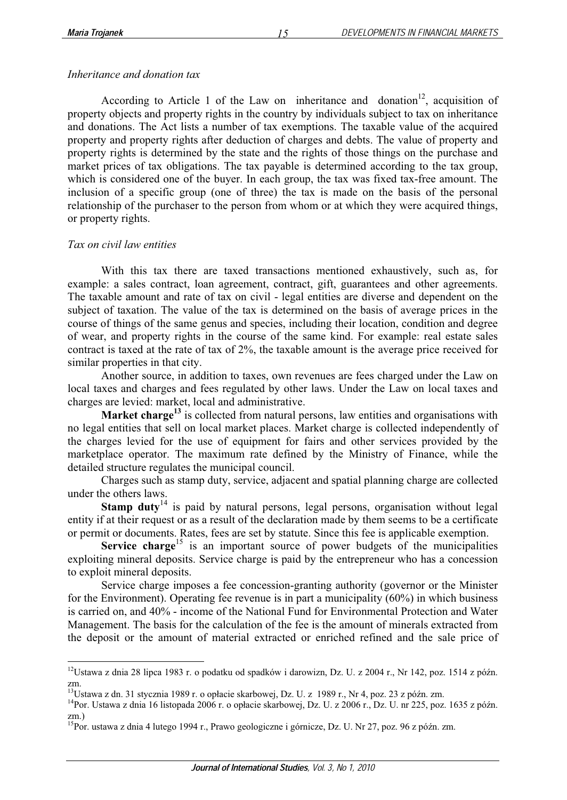#### *Inheritance and donation tax*

According to Article 1 of the Law on inheritance and donation<sup>12</sup>, acquisition of property objects and property rights in the country by individuals subject to tax on inheritance and donations. The Act lists a number of tax exemptions. The taxable value of the acquired property and property rights after deduction of charges and debts. The value of property and property rights is determined by the state and the rights of those things on the purchase and market prices of tax obligations. The tax payable is determined according to the tax group, which is considered one of the buyer. In each group, the tax was fixed tax-free amount. The inclusion of a specific group (one of three) the tax is made on the basis of the personal relationship of the purchaser to the person from whom or at which they were acquired things, or property rights.

#### *Tax on civil law entities*

With this tax there are taxed transactions mentioned exhaustively, such as, for example: a sales contract, loan agreement, contract, gift, guarantees and other agreements. The taxable amount and rate of tax on civil - legal entities are diverse and dependent on the subject of taxation. The value of the tax is determined on the basis of average prices in the course of things of the same genus and species, including their location, condition and degree of wear, and property rights in the course of the same kind. For example: real estate sales contract is taxed at the rate of tax of 2%, the taxable amount is the average price received for similar properties in that city.

Another source, in addition to taxes, own revenues are fees charged under the Law on local taxes and charges and fees regulated by other laws. Under the Law on local taxes and charges are levied: market, local and administrative.

**Market charge<sup>13</sup>** is collected from natural persons, law entities and organisations with no legal entities that sell on local market places. Market charge is collected independently of the charges levied for the use of equipment for fairs and other services provided by the marketplace operator. The maximum rate defined by the Ministry of Finance, while the detailed structure regulates the municipal council.

Charges such as stamp duty, service, adjacent and spatial planning charge are collected under the others laws.

**Stamp duty**<sup>14</sup> is paid by natural persons, legal persons, organisation without legal entity if at their request or as a result of the declaration made by them seems to be a certificate or permit or documents. Rates, fees are set by statute. Since this fee is applicable exemption.

**Service charge**<sup>15</sup> is an important source of power budgets of the municipalities exploiting mineral deposits. Service charge is paid by the entrepreneur who has a concession to exploit mineral deposits.

Service charge imposes a fee concession-granting authority (governor or the Minister for the Environment). Operating fee revenue is in part a municipality (60%) in which business is carried on, and 40% - income of the National Fund for Environmental Protection and Water Management. The basis for the calculation of the fee is the amount of minerals extracted from the deposit or the amount of material extracted or enriched refined and the sale price of

 $12$ Ustawa z dnia 28 lipca 1983 r. o podatku od spadków i darowizn, Dz. U. z 2004 r., Nr 142, poz. 1514 z późn. zm.

<sup>&</sup>lt;sup>13</sup>Ustawa z dn. 31 stycznia 1989 r. o opłacie skarbowej, Dz. U. z 1989 r., Nr 4, poz. 23 z późn. zm.

<sup>&</sup>lt;sup>14</sup>Por. Ustawa z dnia 16 listopada 2006 r. o opłacie skarbowej, Dz. U. z 2006 r., Dz. U. nr 225, poz. 1635 z późn. zm.)

<sup>&</sup>lt;sup>15</sup>Por. ustawa z dnia 4 lutego 1994 r., Prawo geologiczne i górnicze, Dz. U. Nr 27, poz. 96 z późn. zm.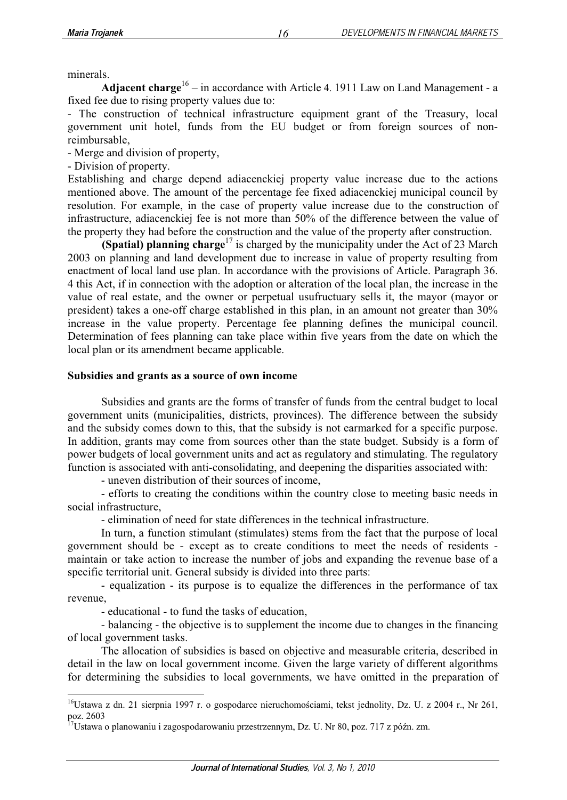minerals.

Adjacent charge<sup>16</sup> – in accordance with Article 4. 1911 Law on Land Management - a fixed fee due to rising property values due to:

*16*

- The construction of technical infrastructure equipment grant of the Treasury, local government unit hotel, funds from the EU budget or from foreign sources of nonreimbursable,

- Merge and division of property,

- Division of property.

Establishing and charge depend adiacenckiej property value increase due to the actions mentioned above. The amount of the percentage fee fixed adiacenckiej municipal council by resolution. For example, in the case of property value increase due to the construction of infrastructure, adiacenckiej fee is not more than 50% of the difference between the value of the property they had before the construction and the value of the property after construction.

**(Spatial) planning charge**<sup>17</sup> is charged by the municipality under the Act of 23 March 2003 on planning and land development due to increase in value of property resulting from enactment of local land use plan. In accordance with the provisions of Article. Paragraph 36. 4 this Act, if in connection with the adoption or alteration of the local plan, the increase in the value of real estate, and the owner or perpetual usufructuary sells it, the mayor (mayor or president) takes a one-off charge established in this plan, in an amount not greater than 30% increase in the value property. Percentage fee planning defines the municipal council. Determination of fees planning can take place within five years from the date on which the local plan or its amendment became applicable.

#### **Subsidies and grants as a source of own income**

Subsidies and grants are the forms of transfer of funds from the central budget to local government units (municipalities, districts, provinces). The difference between the subsidy and the subsidy comes down to this, that the subsidy is not earmarked for a specific purpose. In addition, grants may come from sources other than the state budget. Subsidy is a form of power budgets of local government units and act as regulatory and stimulating. The regulatory function is associated with anti-consolidating, and deepening the disparities associated with:

- uneven distribution of their sources of income,

- efforts to creating the conditions within the country close to meeting basic needs in social infrastructure,

- elimination of need for state differences in the technical infrastructure.

In turn, a function stimulant (stimulates) stems from the fact that the purpose of local government should be - except as to create conditions to meet the needs of residents maintain or take action to increase the number of jobs and expanding the revenue base of a specific territorial unit. General subsidy is divided into three parts:

- equalization - its purpose is to equalize the differences in the performance of tax revenue,

- educational - to fund the tasks of education,

- balancing - the objective is to supplement the income due to changes in the financing of local government tasks.

The allocation of subsidies is based on objective and measurable criteria, described in detail in the law on local government income. Given the large variety of different algorithms for determining the subsidies to local governments, we have omitted in the preparation of

<sup>&</sup>lt;sup>16</sup>Ustawa z dn. 21 sierpnia 1997 r. o gospodarce nieruchomościami, tekst jednolity, Dz. U. z 2004 r., Nr 261, poz. 2603<br><sup>17</sup>Ustawa o planowaniu i zagospodarowaniu przestrzennym, Dz. U. Nr 80, poz. 717 z późn. zm.